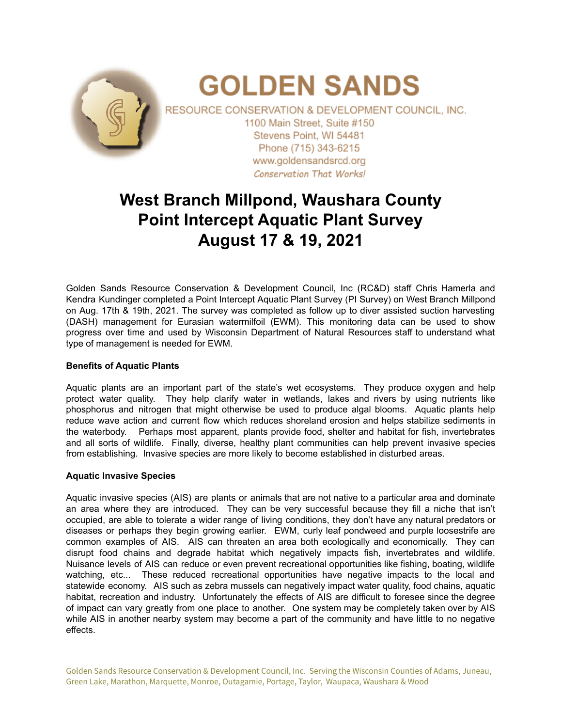

# **West Branch Millpond, Waushara County Point Intercept Aquatic Plant Survey August 17 & 19, 2021**

Golden Sands Resource Conservation & Development Council, Inc (RC&D) staff Chris Hamerla and Kendra Kundinger completed a Point Intercept Aquatic Plant Survey (PI Survey) on West Branch Millpond on Aug. 17th & 19th, 2021. The survey was completed as follow up to diver assisted suction harvesting (DASH) management for Eurasian watermilfoil (EWM). This monitoring data can be used to show progress over time and used by Wisconsin Department of Natural Resources staff to understand what type of management is needed for EWM.

### **Benefits of Aquatic Plants**

Aquatic plants are an important part of the state's wet ecosystems. They produce oxygen and help protect water quality. They help clarify water in wetlands, lakes and rivers by using nutrients like phosphorus and nitrogen that might otherwise be used to produce algal blooms. Aquatic plants help reduce wave action and current flow which reduces shoreland erosion and helps stabilize sediments in the waterbody. Perhaps most apparent, plants provide food, shelter and habitat for fish, invertebrates and all sorts of wildlife. Finally, diverse, healthy plant communities can help prevent invasive species from establishing. Invasive species are more likely to become established in disturbed areas.

#### **Aquatic Invasive Species**

Aquatic invasive species (AIS) are plants or animals that are not native to a particular area and dominate an area where they are introduced. They can be very successful because they fill a niche that isn't occupied, are able to tolerate a wider range of living conditions, they don't have any natural predators or diseases or perhaps they begin growing earlier. EWM, curly leaf pondweed and purple loosestrife are common examples of AIS. AIS can threaten an area both ecologically and economically. They can disrupt food chains and degrade habitat which negatively impacts fish, invertebrates and wildlife. Nuisance levels of AIS can reduce or even prevent recreational opportunities like fishing, boating, wildlife watching, etc... These reduced recreational opportunities have negative impacts to the local and statewide economy. AIS such as zebra mussels can negatively impact water quality, food chains, aquatic habitat, recreation and industry. Unfortunately the effects of AIS are difficult to foresee since the degree of impact can vary greatly from one place to another. One system may be completely taken over by AIS while AIS in another nearby system may become a part of the community and have little to no negative effects.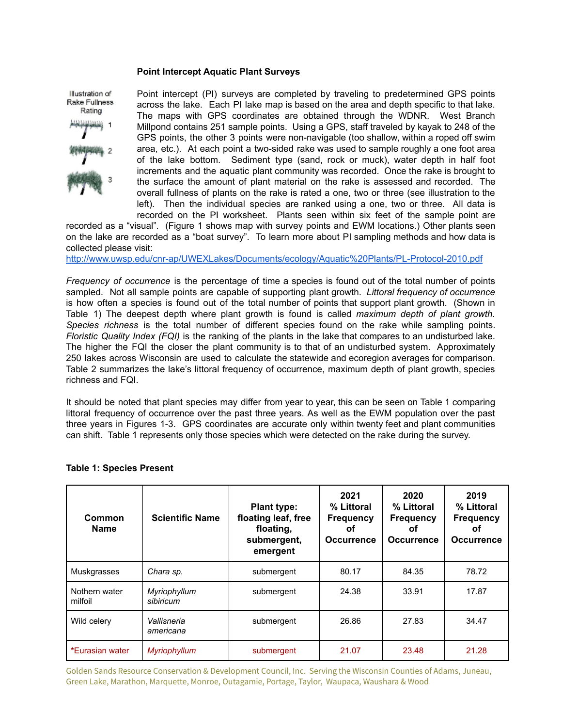#### **Point Intercept Aquatic Plant Surveys**



Point intercept (PI) surveys are completed by traveling to predetermined GPS points across the lake. Each PI lake map is based on the area and depth specific to that lake. The maps with GPS coordinates are obtained through the WDNR. West Branch Millpond contains 251 sample points. Using a GPS, staff traveled by kayak to 248 of the GPS points, the other 3 points were non-navigable (too shallow, within a roped off swim area, etc.). At each point a two-sided rake was used to sample roughly a one foot area of the lake bottom. Sediment type (sand, rock or muck), water depth in half foot increments and the aquatic plant community was recorded. Once the rake is brought to the surface the amount of plant material on the rake is assessed and recorded. The overall fullness of plants on the rake is rated a one, two or three (see illustration to the left). Then the individual species are ranked using a one, two or three. All data is recorded on the PI worksheet. Plants seen within six feet of the sample point are

recorded as a "visual". (Figure 1 shows map with survey points and EWM locations.) Other plants seen on the lake are recorded as a "boat survey". To learn more about PI sampling methods and how data is collected please visit:

<http://www.uwsp.edu/cnr-ap/UWEXLakes/Documents/ecology/Aquatic%20Plants/PL-Protocol-2010.pdf>

*Frequency of occurrence* is the percentage of time a species is found out of the total number of points sampled. Not all sample points are capable of supporting plant growth. *Littoral frequency of occurrence* is how often a species is found out of the total number of points that support plant growth. (Shown in Table 1) The deepest depth where plant growth is found is called *maximum depth of plant growth*. *Species richness* is the total number of different species found on the rake while sampling points. *Floristic Quality Index (FQI)* is the ranking of the plants in the lake that compares to an undisturbed lake. The higher the FQI the closer the plant community is to that of an undisturbed system. Approximately 250 lakes across Wisconsin are used to calculate the statewide and ecoregion averages for comparison. Table 2 summarizes the lake's littoral frequency of occurrence, maximum depth of plant growth, species richness and FQI.

It should be noted that plant species may differ from year to year, this can be seen on Table 1 comparing littoral frequency of occurrence over the past three years. As well as the EWM population over the past three years in Figures 1-3. GPS coordinates are accurate only within twenty feet and plant communities can shift. Table 1 represents only those species which were detected on the rake during the survey.

| Common<br><b>Name</b>    | <b>Scientific Name</b>    | <b>Plant type:</b><br>floating leaf, free<br>floating,<br>submergent,<br>emergent | 2021<br>% Littoral<br><b>Frequency</b><br>Οf<br><b>Occurrence</b> | 2020<br>% Littoral<br><b>Frequency</b><br>Οf<br><b>Occurrence</b> | 2019<br>% Littoral<br><b>Frequency</b><br>οt<br><b>Occurrence</b> |
|--------------------------|---------------------------|-----------------------------------------------------------------------------------|-------------------------------------------------------------------|-------------------------------------------------------------------|-------------------------------------------------------------------|
| Muskgrasses              | Chara sp.                 | submergent                                                                        | 80.17                                                             | 84.35                                                             | 78.72                                                             |
| Nothern water<br>milfoil | Myriophyllum<br>sibiricum | submergent                                                                        | 24.38                                                             | 33.91                                                             | 17.87                                                             |
| Wild celery              | Vallisneria<br>americana  | submergent                                                                        | 26.86                                                             | 27.83                                                             | 34.47                                                             |
| *Eurasian water          | Myriophyllum              | submergent                                                                        | 21.07                                                             | 23.48                                                             | 21.28                                                             |

#### **Table 1: Species Present**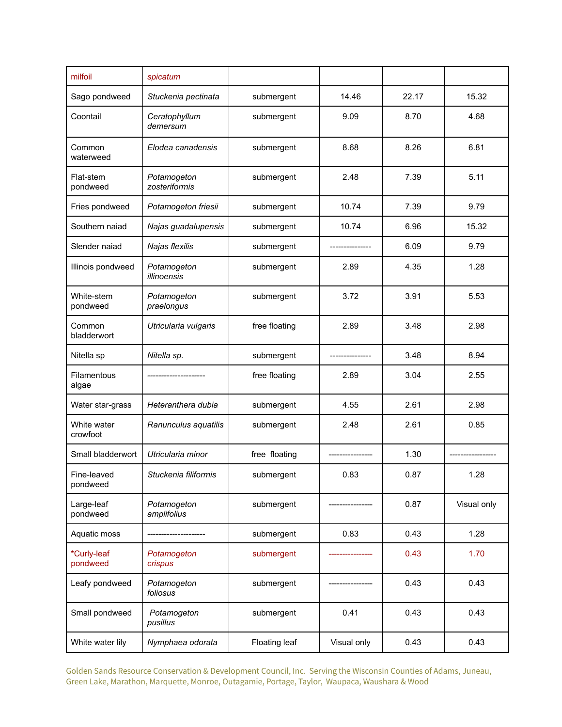| milfoil                     | spicatum                     |                     |             |       |             |
|-----------------------------|------------------------------|---------------------|-------------|-------|-------------|
| Sago pondweed               | Stuckenia pectinata          | 14.46<br>submergent |             | 22.17 | 15.32       |
| Coontail                    | Ceratophyllum<br>demersum    | 9.09<br>submergent  |             | 8.70  | 4.68        |
| Common<br>waterweed         | Elodea canadensis            | 8.68<br>submergent  |             | 8.26  | 6.81        |
| Flat-stem<br>pondweed       | Potamogeton<br>zosteriformis | submergent          | 2.48        | 7.39  | 5.11        |
| Fries pondweed              | Potamogeton friesii          | submergent          | 10.74       | 7.39  | 9.79        |
| Southern naiad              | Najas guadalupensis          | submergent          | 10.74       | 6.96  | 15.32       |
| Slender naiad               | Najas flexilis               | submergent          |             | 6.09  | 9.79        |
| Illinois pondweed           | Potamogeton<br>illinoensis   | submergent          | 2.89        |       | 1.28        |
| White-stem<br>pondweed      | Potamogeton<br>praelongus    | 3.72<br>submergent  |             | 3.91  | 5.53        |
| Common<br>bladderwort       | Utricularia vulgaris         | free floating       | 2.89        | 3.48  | 2.98        |
| Nitella sp                  | Nitella sp.                  | submergent          |             | 3.48  | 8.94        |
| <b>Filamentous</b><br>algae |                              | free floating       | 2.89        |       | 2.55        |
| Water star-grass            | Heteranthera dubia           | 4.55<br>submergent  |             | 2.61  | 2.98        |
| White water<br>crowfoot     | Ranunculus aquatilis         | submergent          | 2.48        | 2.61  | 0.85        |
| Small bladderwort           | Utricularia minor            | free floating       |             | 1.30  |             |
| Fine-leaved<br>pondweed     | Stuckenia filiformis         | submergent          | 0.83        | 0.87  | 1.28        |
| Large-leaf<br>pondweed      | Potamogeton<br>amplifolius   | submergent          |             | 0.87  | Visual only |
| Aquatic moss                |                              | submergent          | 0.83        | 0.43  | 1.28        |
| *Curly-leaf<br>pondweed     | Potamogeton<br>crispus       | submergent          |             | 0.43  | 1.70        |
| Leafy pondweed              | Potamogeton<br>foliosus      | submergent          |             | 0.43  | 0.43        |
| Small pondweed              | Potamogeton<br>pusillus      | submergent          | 0.41        | 0.43  | 0.43        |
| White water lily            | Nymphaea odorata             | Floating leaf       | Visual only | 0.43  | 0.43        |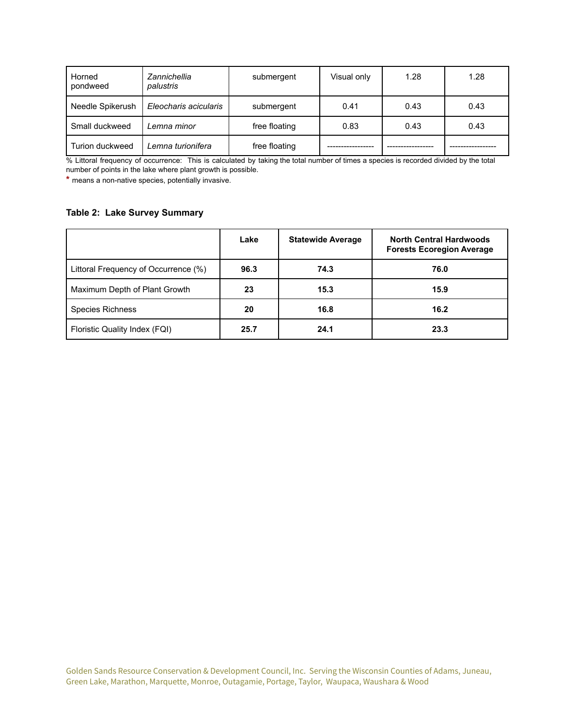| Horned<br>pondweed | Zannichellia<br>palustris | submergent    | Visual only | 1.28 | 1.28 |
|--------------------|---------------------------|---------------|-------------|------|------|
| Needle Spikerush   | Eleocharis acicularis     | submergent    | 0.41        | 0.43 | 0.43 |
| Small duckweed     | Lemna minor               | free floating | 0.83        | 0.43 | 0.43 |
| Turion duckweed    | Lemna turionifera         | free floating |             |      |      |

% Littoral frequency of occurrence: This is calculated by taking the total number of times a species is recorded divided by the total number of points in the lake where plant growth is possible.

**\*** means a non-native species, potentially invasive.

## **Table 2: Lake Survey Summary**

|                                      | Lake | <b>Statewide Average</b> | <b>North Central Hardwoods</b><br><b>Forests Ecoregion Average</b> |
|--------------------------------------|------|--------------------------|--------------------------------------------------------------------|
| Littoral Frequency of Occurrence (%) | 96.3 | 74.3                     | 76.0                                                               |
| Maximum Depth of Plant Growth        | 23   | 15.3                     | 15.9                                                               |
| Species Richness                     | 20   | 16.8                     | 16.2                                                               |
| Floristic Quality Index (FQI)        | 25.7 | 24.1                     | 23.3                                                               |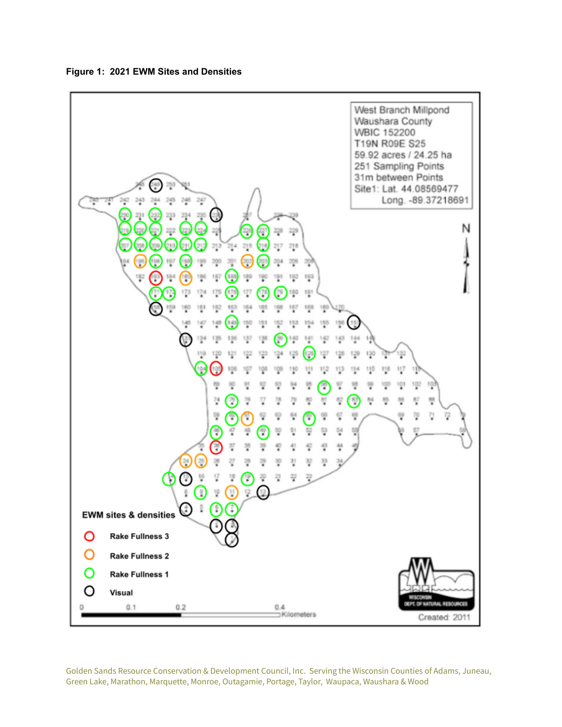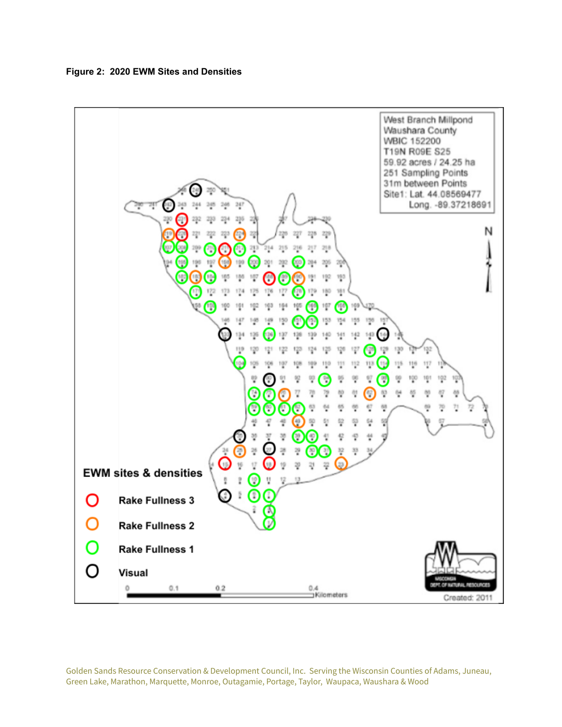